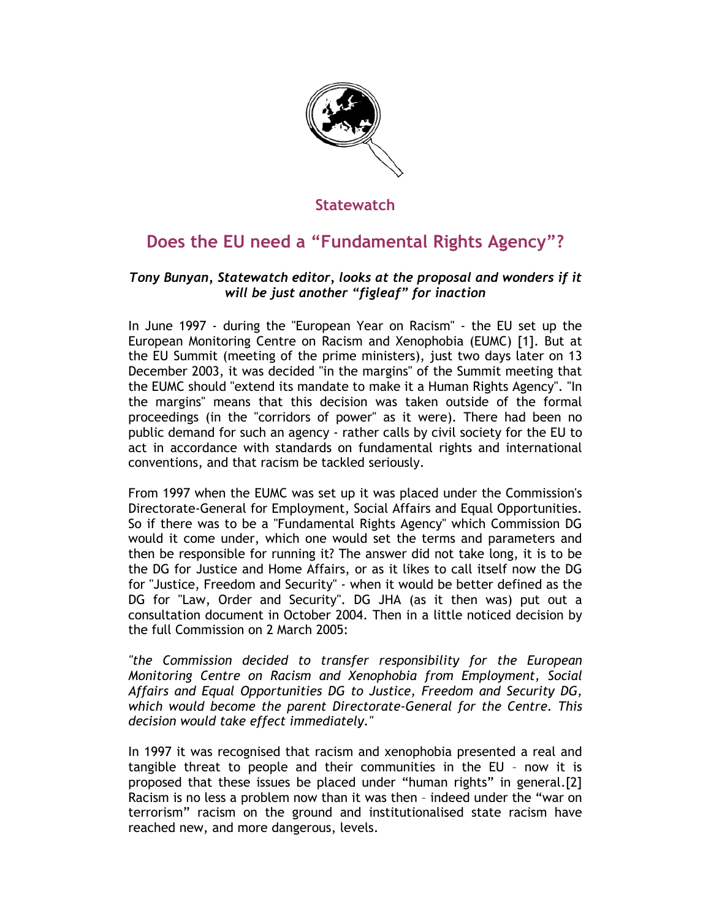

# **Statewatch**

# **Does the EU need a "Fundamental Rights Agency"?**

## *Tony Bunyan, Statewatch editor, looks at the proposal and wonders if it will be just another "figleaf" for inaction*

In June 1997 - during the "European Year on Racism" - the EU set up the European Monitoring Centre on Racism and Xenophobia (EUMC) [1]. But at the EU Summit (meeting of the prime ministers), just two days later on 13 December 2003, it was decided "in the margins" of the Summit meeting that the EUMC should "extend its mandate to make it a Human Rights Agency". "In the margins" means that this decision was taken outside of the formal proceedings (in the "corridors of power" as it were). There had been no public demand for such an agency - rather calls by civil society for the EU to act in accordance with standards on fundamental rights and international conventions, and that racism be tackled seriously.

From 1997 when the EUMC was set up it was placed under the Commission's Directorate-General for Employment, Social Affairs and Equal Opportunities. So if there was to be a "Fundamental Rights Agency" which Commission DG would it come under, which one would set the terms and parameters and then be responsible for running it? The answer did not take long, it is to be the DG for Justice and Home Affairs, or as it likes to call itself now the DG for "Justice, Freedom and Security" - when it would be better defined as the DG for "Law, Order and Security". DG JHA (as it then was) put out a consultation document in October 2004. Then in a little noticed decision by the full Commission on 2 March 2005:

*"the Commission decided to transfer responsibility for the European Monitoring Centre on Racism and Xenophobia from Employment, Social Affairs and Equal Opportunities DG to Justice, Freedom and Security DG, which would become the parent Directorate-General for the Centre. This decision would take effect immediately."* 

In 1997 it was recognised that racism and xenophobia presented a real and tangible threat to people and their communities in the EU – now it is proposed that these issues be placed under "human rights" in general.[2] Racism is no less a problem now than it was then – indeed under the "war on terrorism" racism on the ground and institutionalised state racism have reached new, and more dangerous, levels.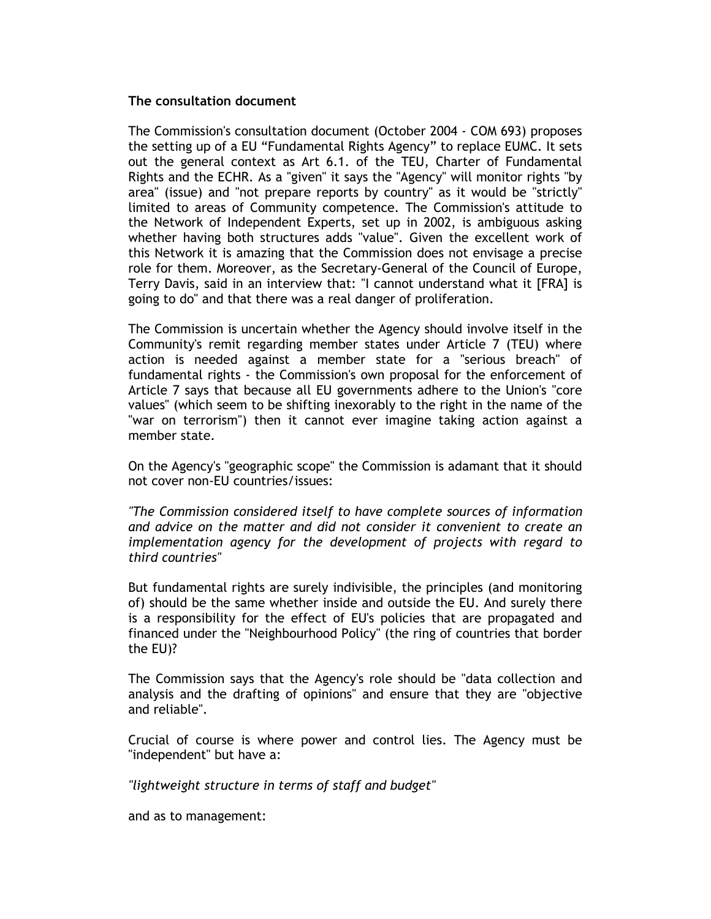#### **The consultation document**

The Commission's consultation document (October 2004 - COM 693) proposes the setting up of a EU "Fundamental Rights Agency" to replace EUMC. It sets out the general context as Art 6.1. of the TEU, Charter of Fundamental Rights and the ECHR. As a "given" it says the "Agency" will monitor rights "by area" (issue) and "not prepare reports by country" as it would be "strictly" limited to areas of Community competence. The Commission's attitude to the Network of Independent Experts, set up in 2002, is ambiguous asking whether having both structures adds "value". Given the excellent work of this Network it is amazing that the Commission does not envisage a precise role for them. Moreover, as the Secretary-General of the Council of Europe, Terry Davis, said in an interview that: "I cannot understand what it [FRA] is going to do" and that there was a real danger of proliferation.

The Commission is uncertain whether the Agency should involve itself in the Community's remit regarding member states under Article 7 (TEU) where action is needed against a member state for a "serious breach" of fundamental rights - the Commission's own proposal for the enforcement of Article 7 says that because all EU governments adhere to the Union's "core values" (which seem to be shifting inexorably to the right in the name of the "war on terrorism") then it cannot ever imagine taking action against a member state.

On the Agency's "geographic scope" the Commission is adamant that it should not cover non-EU countries/issues:

*"The Commission considered itself to have complete sources of information and advice on the matter and did not consider it convenient to create an implementation agency for the development of projects with regard to third countries"* 

But fundamental rights are surely indivisible, the principles (and monitoring of) should be the same whether inside and outside the EU. And surely there is a responsibility for the effect of EU's policies that are propagated and financed under the "Neighbourhood Policy" (the ring of countries that border the EU)?

The Commission says that the Agency's role should be "data collection and analysis and the drafting of opinions" and ensure that they are "objective and reliable".

Crucial of course is where power and control lies. The Agency must be "independent" but have a:

*"lightweight structure in terms of staff and budget"* 

and as to management: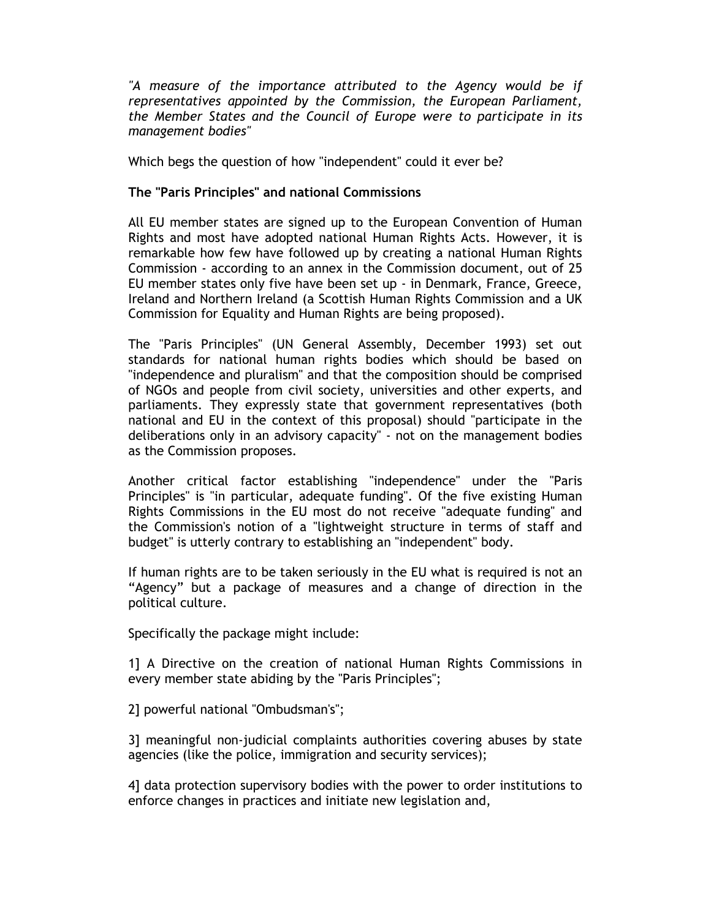*"A measure of the importance attributed to the Agency would be if representatives appointed by the Commission, the European Parliament, the Member States and the Council of Europe were to participate in its management bodies"* 

Which begs the question of how "independent" could it ever be?

## **The "Paris Principles" and national Commissions**

All EU member states are signed up to the European Convention of Human Rights and most have adopted national Human Rights Acts. However, it is remarkable how few have followed up by creating a national Human Rights Commission - according to an annex in the Commission document, out of 25 EU member states only five have been set up - in Denmark, France, Greece, Ireland and Northern Ireland (a Scottish Human Rights Commission and a UK Commission for Equality and Human Rights are being proposed).

The "Paris Principles" (UN General Assembly, December 1993) set out standards for national human rights bodies which should be based on "independence and pluralism" and that the composition should be comprised of NGOs and people from civil society, universities and other experts, and parliaments. They expressly state that government representatives (both national and EU in the context of this proposal) should "participate in the deliberations only in an advisory capacity" - not on the management bodies as the Commission proposes.

Another critical factor establishing "independence" under the "Paris Principles" is "in particular, adequate funding". Of the five existing Human Rights Commissions in the EU most do not receive "adequate funding" and the Commission's notion of a "lightweight structure in terms of staff and budget" is utterly contrary to establishing an "independent" body.

If human rights are to be taken seriously in the EU what is required is not an "Agency" but a package of measures and a change of direction in the political culture.

Specifically the package might include:

1] A Directive on the creation of national Human Rights Commissions in every member state abiding by the "Paris Principles";

2] powerful national "Ombudsman's";

3] meaningful non-judicial complaints authorities covering abuses by state agencies (like the police, immigration and security services);

4] data protection supervisory bodies with the power to order institutions to enforce changes in practices and initiate new legislation and,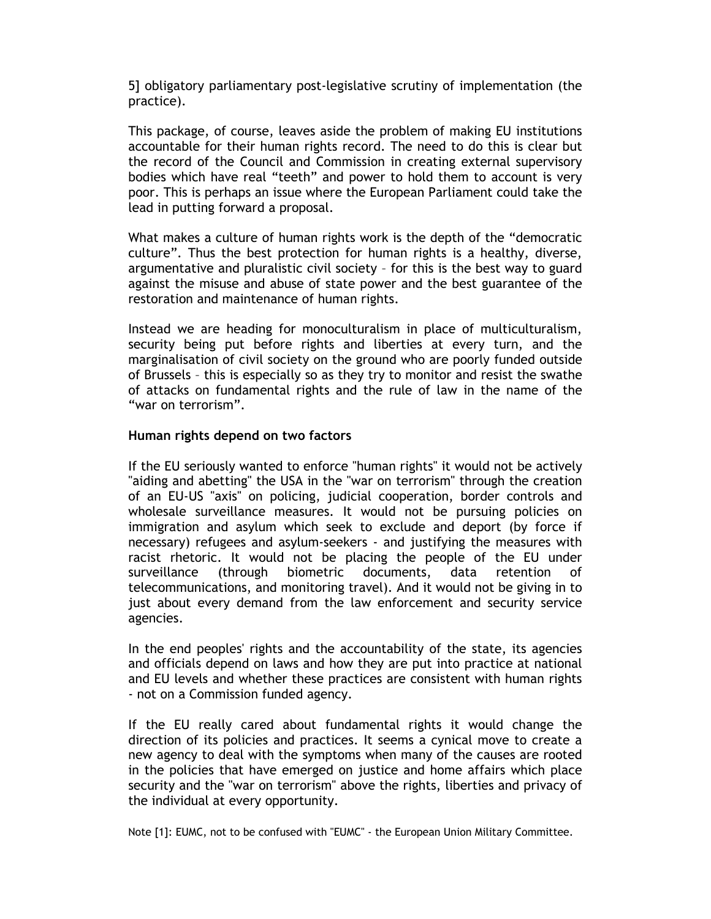5] obligatory parliamentary post-legislative scrutiny of implementation (the practice).

This package, of course, leaves aside the problem of making EU institutions accountable for their human rights record. The need to do this is clear but the record of the Council and Commission in creating external supervisory bodies which have real "teeth" and power to hold them to account is very poor. This is perhaps an issue where the European Parliament could take the lead in putting forward a proposal.

What makes a culture of human rights work is the depth of the "democratic culture". Thus the best protection for human rights is a healthy, diverse, argumentative and pluralistic civil society – for this is the best way to guard against the misuse and abuse of state power and the best guarantee of the restoration and maintenance of human rights.

Instead we are heading for monoculturalism in place of multiculturalism, security being put before rights and liberties at every turn, and the marginalisation of civil society on the ground who are poorly funded outside of Brussels – this is especially so as they try to monitor and resist the swathe of attacks on fundamental rights and the rule of law in the name of the "war on terrorism".

## **Human rights depend on two factors**

If the EU seriously wanted to enforce "human rights" it would not be actively "aiding and abetting" the USA in the "war on terrorism" through the creation of an EU-US "axis" on policing, judicial cooperation, border controls and wholesale surveillance measures. It would not be pursuing policies on immigration and asylum which seek to exclude and deport (by force if necessary) refugees and asylum-seekers - and justifying the measures with racist rhetoric. It would not be placing the people of the EU under surveillance (through biometric documents, data retention of telecommunications, and monitoring travel). And it would not be giving in to just about every demand from the law enforcement and security service agencies.

In the end peoples' rights and the accountability of the state, its agencies and officials depend on laws and how they are put into practice at national and EU levels and whether these practices are consistent with human rights - not on a Commission funded agency.

If the EU really cared about fundamental rights it would change the direction of its policies and practices. It seems a cynical move to create a new agency to deal with the symptoms when many of the causes are rooted in the policies that have emerged on justice and home affairs which place security and the "war on terrorism" above the rights, liberties and privacy of the individual at every opportunity.

Note [1]: EUMC, not to be confused with "EUMC" - the European Union Military Committee.